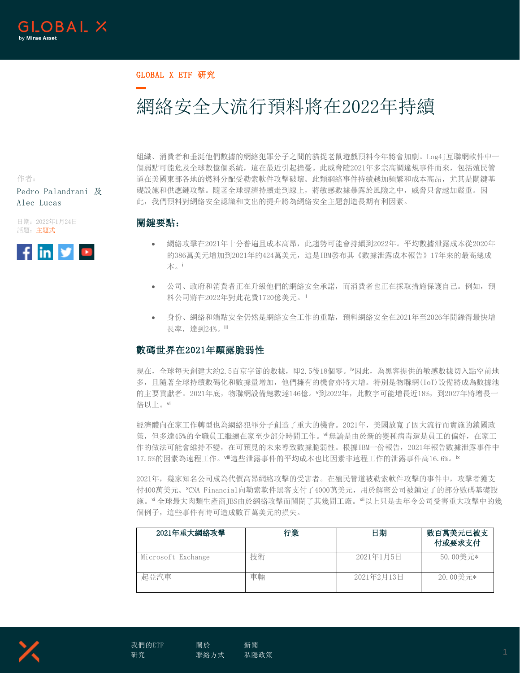

#### GLOBAL X ETF 研究

# 網絡安全大流行預料將在2022年持續

作者: Pedro Palandrani 及 Alec Lucas

日期:2022年1月24日 話題:主題式



組織、消費者和垂涎他們數據的網絡犯罪分子之間的貓捉老鼠遊戲預料今年將會加劇。Log4j互聯網軟件中一 個弱點可能危及全球數億個系統,這在最近引起擔憂。此威脅隨2021年多宗高調違規事件而來,包括殖民管 道在美國東部各地的燃料分配受勒索軟件攻擊破壞。此類網絡事件持續越加頻繁和成本高昂,尤其是關鍵基 礎設施和供應鏈攻擊。隨著全球經濟持續走到線上,將敏感數據暴露於風險之中,威脅只會越加嚴重。因 此,我們預料對網絡安全認識和支出的提升將為網絡安全主題創造長期有利因素。

#### 關鍵要點:

- 網絡攻擊在2021年十分普遍且成本高昂,此趨勢可能會持續到2022年。平均數據泄露成本從2020年 的386萬美元增加到2021年的424萬美元,這是IBM發布其《數據泄露成本報告》17年來的最高總成 本。<sup>i</sup>
- 公司、政府和消費者正在升級他們的網絡安全承諾,而消費者也正在採取措施保護自己。例如,預 料公司將在2022年對此花費1720億美元。ii
- 身份、網絡和端點安全仍然是網絡安全工作的重點,預料網絡安全在2021年至2026年間錄得最快增 長率,達到24%。iii

#### 數碼世界在2021年顯露脆弱性

現在,全球每天創建大約2.5百京字節的數據,即2.5後18個零。『因此,為黑客提供的敏感數據切入點空前地 多,且隨著全球持續數碼化和數據量增加,他們擁有的機會亦將大增。特別是物聯網(IoT)設備將成為數據池 的主要貢獻者。2021年底,物聯網設備總數達146億。<sup>v</sup>到2022年,此數字可能增長近18%,到2027年將增長一 倍以上。vi

經濟體向在家工作轉型也為網絡犯罪分子創造了重大的機會。2021年,美國放寬了因大流行而實施的鎖國政 策,但多達45%的全職員工繼續在家至少部分時間工作。"無論是由於新的變種病毒還是員工的偏好,在家工 作的做法可能會維持不變,在可預見的未來導致數據脆弱性。根據IBM一份報告,2021年報告數據泄露事件中 17.5%的因素為遠程工作。"ii這些泄露事件的平均成本也比因素非遠程工作的泄露事件高16.6%。ix

2021年,幾家知名公司成為代價高昂網絡攻擊的受害者。在殖民管道被勒索軟件攻擊的事件中,攻擊者獲支 付400萬美元。<sup>x</sup>CNA Financial向勒索軟件黑客支付了4000萬美元,用於解密公司被鎖定了的部分數碼基礎設 施。xi 全球最大肉類生產商JBS由於網絡攻擊而關閉了其幾間工廠。xii以上只是去年令公司受害重大攻擊中的幾 個例子,這些事件有時可造成數百萬美元的損失。

| 2021年重大網絡攻擊        | 行業 | 日期         | 數百萬美元已被支<br>付或要求支付 |
|--------------------|----|------------|--------------------|
| Microsoft Exchange | 技術 | 2021年1月5日  | 50.00美元*           |
| 起亞汽車               | 車輛 | 2021年2月13日 | 20.00美元*           |

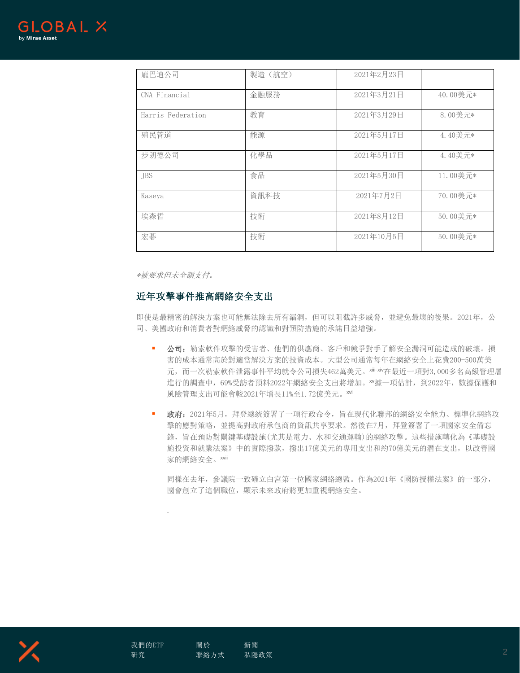

| 龐巴迪公司             | 製造(航空) | 2021年2月23日 |          |
|-------------------|--------|------------|----------|
| CNA Financial     | 金融服務   | 2021年3月21日 | 40.00美元* |
| Harris Federation | 教育     | 2021年3月29日 | 8.00美元*  |
| 殖民管道              | 能源     | 2021年5月17日 | 4.40美元*  |
| 步朗德公司             | 化學品    | 2021年5月17日 | 4.40美元*  |
| <b>TBS</b>        | 食品     | 2021年5月30日 | 11.00美元* |
| Kaseya            | 資訊科技   | 2021年7月2日  | 70.00美元* |
| 埃森哲               | 技術     | 2021年8月12日 | 50.00美元* |
| 宏碁                | 技術     | 2021年10月5日 | 50.00美元* |

\*被要求但未全額支付。

#### 近年攻擊事件推高網絡安全支出

即使是最精密的解決方案也可能無法除去所有漏洞,但可以阻截許多威脅,並避免最壞的後果。2021年,公 司、美國政府和消費者對網絡威脅的認識和對預防措施的承諾日益增強。

- 公司:勒索軟件攻擊的受害者、他們的供應商、客戶和競爭對手了解安全漏洞可能造成的破壞。損 害的成本通常高於對適當解決方案的投資成本。大型公司通常每年在網絡安全上花費200-500萬美 元,而一次勒索軟件泄露事件平均就令公司損失462萬美元。xiii xiv在最近一項對3,000多名高級管理層 進行的調查中,69%受訪者預料2022年網絡安全支出將增加。xv據一項估計,到2022年,數據保護和 風險管理支出可能會較2021年增長11%至1.72億美元。xvi
- 政府: 2021年5月, 拜登總統簽署了一項行政命令, 旨在現代化聯邦的網絡安全能力、標準化網絡攻 擊的應對策略,並提高對政府承包商的資訊共享要求。然後在7月,拜登簽署了一項國家安全備忘 錄,旨在預防對關鍵基礎設施(尤其是電力、水和交通運輸)的網絡攻擊。這些措施轉化為《基礎設 施投資和就業法案》中的實際撥款,撥出17億美元的專用支出和約70億美元的潛在支出,以改善國 家的網絡安全。xvii

同樣在去年,參議院一致確立白宮第一位國家網絡總監。作為2021年《國防授權法案》的一部分, 國會創立了這個職位,顯示未來政府將更加重視網絡安全。



.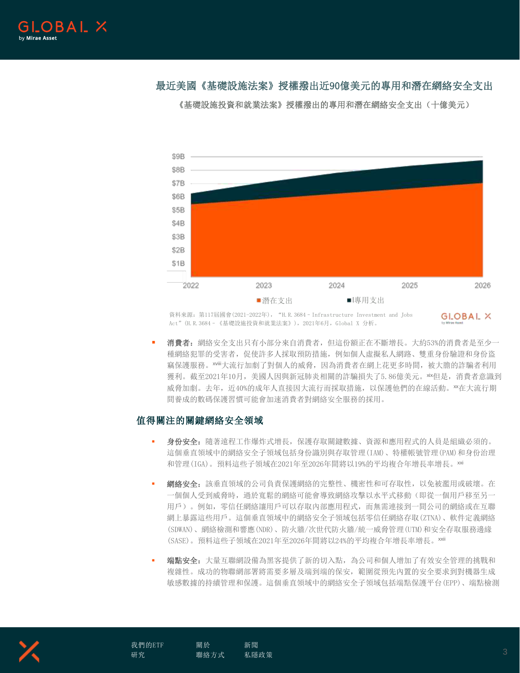## 最近美國《基礎設施法案》授權撥出近90億美元的專用和潛在網絡安全支出

\$9B \$8B \$7B \$6B \$5B \$4B \$3B \$2B \$1B 2022 2023 2024 2025 2026 ■潛在支出 ■專用支出

《基礎設施投資和就業法案》授權撥出的專用和潛在網絡安全支出(十億美元)

資料來源: 第117屆國會(2021-2022年), "H.R.3684 - Infrastructure Investment and Jobs Act"(H.R.3684–《基礎設施投資和就業法案》),2021年6月,Global X 分析。

GLOBAL X

 消費者:網絡安全支出只有小部分來自消費者,但這份額正在不斷增長。大約53%的消費者是至少一 種網絡犯罪的受害者,促使許多人採取預防措施,例如個人虛擬私人網路、雙重身份驗證和身份盜 竊保護服務。xviii大流行加劇了對個人的威脅,因為消費者在網上花更多時間,被大膽的詐騙者利用 獲利。截至2021年10月, 美國人因與新冠肺炎相關的詐騙損失了5.86億美元。xix但是, 消費者意識到 威脅加劇。去年,近40%的成年人直接因大流行而採取措施,以保護他們的在線活動。 \*\* 在大流行期 間養成的數碼保護習慣可能會加速消費者對網絡安全服務的採用。

### 值得關注的關鍵網絡安全領域

- 身份安全:隨著遠程工作爆炸式增長,保護存取關鍵數據、資源和應用程式的人員是組織必須的。 這個垂直領域中的網絡安全子領域包括身份識別與存取管理(IAM)、特權帳號管理(PAM)和身份治理 和管理(IGA)。預料這些子領域在2021年至2026年間將以19%的平均複合年增長率增長。××i
- 網絡安全:該垂直領域的公司負責保護網絡的完整性、機密性和可存取性,以免被濫用或破壞。在 一個個人受到威脅時,過於寬鬆的網絡可能會導致網絡攻擊以水平式移動(即從一個用戶移至另一 用戶)。例如,零信任網絡讓用戶可以存取內部應用程式,而無需連接到一間公司的網絡或在互聯 網上暴露這些用戶。這個垂直領域中的網絡安全子領域包括零信任網絡存取(ZTNA)、軟件定義網絡 (SDWAN)、網絡檢測和響應(NDR)、防火牆/次世代防火牆/統一威脅管理(UTM)和安全存取服務邊緣 (SASE)。預料這些子領域在2021年至2026年間將以24%的平均複合年增長率增長。xxii
- 端點安全:大量互聯網設備為黑客提供了新的切入點,為公司和個人增加了有效安全管理的挑戰和 複雜性。成功的物聯網部署將需要多層及端到端的保安,範圍從預先內置的安全要求到對機器生成 敏感數據的持續管理和保護。這個垂直領域中的網絡安全子領域包括端點保護平台(EPP)、端點檢測

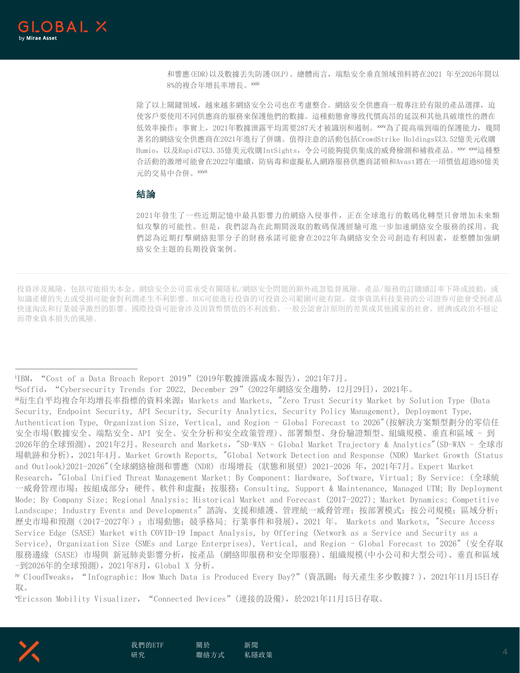**\_OBAL X** 

和響應(EDR)以及數據丟失防護(DLP)。總體而言,端點安全垂直領域預料將在2021 年至2026年間以 8%的複合年增長率增長。xxiii

除了以上關鍵領域,越來越多網絡安全公司也在考慮整合。網絡安全供應商一般專注於有限的產品選擇,迫 使客戶要使用不同供應商的服務來保護他們的數據。這種動態會導致代價高昂的延誤和其他具破壞性的潛在 低效率操作;事實上, 2021年數據泄露平均需要287天才被識別和遏制。xxiv為了提高端到端的保護能力,幾間 著名的網絡安全供應商在2021年進行了併購。值得注意的活動包括CrowdStrike Holdings以3.52億美元收購 Humio, 以及Rapid7以3.35億美元收購IntSights, 令公司能夠提供集成的威脅檢測和補救產品。xxv xxvi這種整 合活動的激增可能會在2022年繼續,防病毒和虛擬私人網路服務供應商諾頓和Avast將在一項價值超過80億美 元的交易中合併。xxvii

#### 結論

2021年發生了一些近期記憶中最具影響力的網絡入侵事件,正在全球進行的數碼化轉型只會增加未來類 似攻擊的可能性。但是,我們認為在此期間汲取的數碼保護經驗可進一步加速網絡安全服務的採用。我 們認為近期打擊網絡犯罪分子的財務承諾可能會在2022年為網絡安全公司創造有利因素,並整體加強網 絡安全主題的長期投資案例。

投資涉及風險,包括可能損失本金。網絡安全公司需承受有關隱私/網絡安全問題的額外疏忽監督風險。產品/服務的訂購續訂率下降或波動,或 知識產權的失去或受損可能會對利潤產生不利影響。BUG可能進行投資的可投資公司範圍可能有限。從事資訊科技業務的公司證券可能會受到產品 快速淘汰和行業競爭激烈的影響。國際投資可能會涉及因貨幣價值的不利波動、一般公認會計原則的差異或其他國家的社會、經濟或政治不穩定 而帶來資本損失的風險。

<sup>i</sup>IBM,"Cost of a Data Breach Report 2019"(2019年數據泄露成本報告),2021年7月。

iiSoffid,"Cybersecurity Trends for 2022, December 29"(2022年網絡安全趨勢,12月29日),2021年。

"衍生自平均複合年均增長率指標的資料來源: Markets and Markets, "Zero Trust Security Market by Solution Type (Data Security, Endpoint Security, API Security, Security Analytics, Security Policy Management), Deployment Type, Authentication Type, Organization Size, Vertical, and Region - Global Forecast to 2026"(按解決方案類型劃分的零信任 安全市場(數據安全、端點安全、API 安全、安全分析和安全政策管理)、部署類型、身份驗證類型、組織規模、垂直和區域 - 到 2026年的全球預測),2021年2月。Research and Markets,"SD-WAN - Global Market Trajectory & Analytics"(SD-WAN - 全球市 場軌跡和分析),2021年4月。Market Growth Reports, "Global Network Detection and Response (NDR) Market Growth (Status and Outlook)2021-2026"(全球網絡檢測和響應 (NDR) 市場增長 (狀態和展望) 2021-2026 年,2021年7月。Expert Market Research,"Global Unified Threat Management Market: By Component: Hardware, Software, Virtual; By Service: (全球統 一威脅管理市場:按組成部分:硬件、軟件和虛擬;按服務:Consulting, Support & Maintenance, Managed UTM; By Deployment Mode; By Company Size; Regional Analysis; Historical Market and Forecast (2017-2027); Market Dynamics; Competitive Landscape; Industry Events and Developments" 諮詢、支援和維護、管理統一威脅管理;按部署模式; 按公司規模; 區域分析; 歷史市場和預測(2017-2027年);市場動態;競爭格局; 行業事件和發展),2021 年。 Markets and Markets, "Secure Access Service Edge (SASE) Market with COVID-19 Impact Analysis, by Offering (Network as a Service and Security as a Service), Organization Size (SMEs and Large Enterprises), Vertical, and Region - Global Forecast to 2026" (安全存取 服務邊緣 (SASE) 市場與 新冠肺炎影響分析,按產品 (網絡即服務和安全即服務)、組織規模(中小公司和大型公司)、垂直和區域 -到2026年的全球預測),2021年8月,Global X 分析。

iv CloudTweaks,"Infographic: How Much Data is Produced Every Day?"(資訊圖:每天產生多少數據?),2021年11月15日存 取。

vEricsson Mobility Visualizer, "Connected Devices"(連接的設備),於2021年11月15日存取。



 $\overline{a}$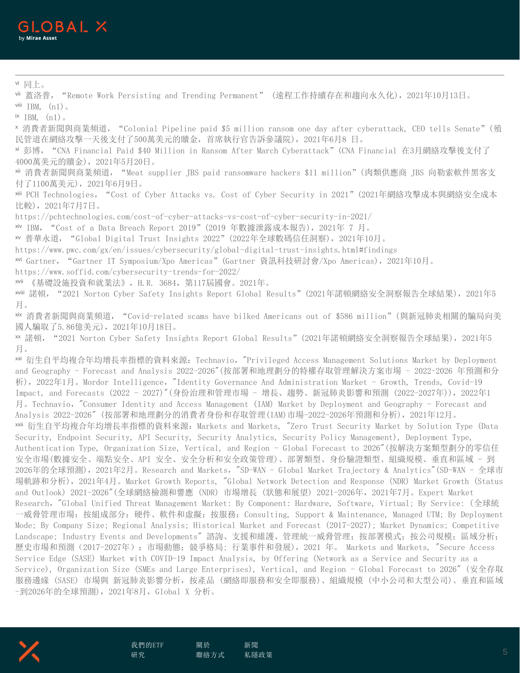vi 同上。

 $\overline{a}$ 

vii 蓋洛普, "Remote Work Persisting and Trending Permanent" (遠程工作持續存在和趨向永久化), 2021年10月13日。 viii  $IBM$ ,  $(n1)$ .

 $i$ <sup>x</sup> IBM,  $(n1)$ .

<sup>x</sup> 消費者新聞與商業頻道,"Colonial Pipeline paid \$5 million ransom one day after cyberattack, CEO tells Senate"(殖 民管道在網絡攻擊一天後支付了500萬美元的贖金,首席執行官告訴參議院),2021年6月8 日。

xi 彭博,"CNA Financial Paid \$40 Million in Ransom After March Cyberattack"(CNA Financial 在3月網絡攻擊後支付了 4000萬美元的贖金),2021年5月20日。

xii 消費者新聞與商業頻道,"Meat supplier JBS paid ransomware hackers \$11 million"(肉類供應商 JBS 向勒索軟件黑客支 付了1100萬美元),2021年6月9日。

xiii PCH Technologies,"Cost of Cyber Attacks vs. Cost of Cyber Security in 2021"(2021年網絡攻擊成本與網絡安全成本 比較),2021年7月7日。

https://pchtechnologies.com/cost-of-cyber-attacks-vs-cost-of-cyber-security-in-2021/

xiv IBM,"Cost of a Data Breach Report 2019"(2019 年數據泄露成本報告),2021年 7 月。

xv 普華永道,"Global Digital Trust Insights 2022"(2022年全球數碼信任洞察),2021年10月。

https://www.pwc.com/gx/en/issues/cybersecurity/global-digital-trust-insights.html#findings

xvi Gartner,"Gartner IT Symposium/Xpo Americas"(Gartner 資訊科技研討會/Xpo Americas),2021年10月。

https://www.soffid.com/cybersecurity-trends-for-2022/

xvii 《基礎設施投資和就業法》,H.R. 3684,第117屆國會。2021年。

xviii 諾頓,"2021 Norton Cyber Safety Insights Report Global Results"(2021年諾頓網絡安全洞察報告全球結果),2021年5 月。

xix 消費者新聞與商業頻道,"Covid-related scams have bilked Americans out of \$586 million"(與新冠肺炎相關的騙局向美 國人騙取了5.86億美元),2021年10月18日。

xx 諾頓,"2021 Norton Cyber Safety Insights Report Global Results"(2021年諾頓網絡安全洞察報告全球結果),2021年5 月。

xxi 衍生自平均複合年均增長率指標的資料來源:Technavio,"Privileged Access Management Solutions Market by Deployment and Geography - Forecast and Analysis 2022-2026"(按部署和地理劃分的特權存取管理解決方案市場 - 2022-2026 年預測和分 析),2022年1月。Mordor Intelligence,"Identity Governance And Administration Market - Growth, Trends, Covid-19 Impact, and Forecasts (2022 - 2027)"(身份治理和管理市場 - 增長、趨勢、新冠肺炎影響和預測 (2022-2027年)),2022年1 月。Technavio,"Consumer Identity and Access Management (IAM) Market by Deployment and Geography - Forecast and Analysis 2022-2026" (按部署和地理劃分的消費者身份和存取管理(IAM)市場-2022-2026年預測和分析),2021年12月。 xxii 衍生自平均複合年均增長率指標的資料來源:Markets and Markets, "Zero Trust Security Market by Solution Type (Data Security, Endpoint Security, API Security, Security Analytics, Security Policy Management), Deployment Type, Authentication Type, Organization Size, Vertical, and Region - Global Forecast to 2026"(按解決方案類型劃分的零信任 安全市場(數據安全、端點安全、API 安全、安全分析和安全政策管理)、部署類型、身份驗證類型、組織規模、垂直和區域 - 到 2026年的全球預測),2021年2月。Research and Markets,"SD-WAN - Global Market Trajectory & Analytics"(SD-WAN - 全球市 場軌跡和分析),2021年4月。Market Growth Reports, "Global Network Detection and Response (NDR) Market Growth (Status and Outlook) 2021-2026"(全球網絡檢測和響應 (NDR) 市場增長 (狀態和展望) 2021-2026年,2021年7月。Expert Market Research,"Global Unified Threat Management Market: By Component: Hardware, Software, Virtual; By Service: (全球統 一威脅管理市場:按組成部分:硬件、軟件和虛擬;按服務:Consulting, Support & Maintenance, Managed UTM; By Deployment Mode; By Company Size; Regional Analysis; Historical Market and Forecast (2017-2027); Market Dynamics; Competitive Landscape; Industry Events and Developments" 諮詢、支援和維護、管理統一威脅管理; 按部署模式; 按公司規模; 區域分析; 歷史市場和預測(2017-2027年);市場動態;競爭格局; 行業事件和發展),2021 年。 Markets and Markets, "Secure Access Service Edge (SASE) Market with COVID-19 Impact Analysis, by Offering (Network as a Service and Security as a Service), Organization Size (SMEs and Large Enterprises), Vertical, and Region - Global Forecast to 2026" (安全存取 服務邊緣 (SASE) 市場與 新冠肺炎影響分析,按產品 (網絡即服務和安全即服務)、組織規模 (中小公司和大型公司)、垂直和區域 -到2026年的全球預測),2021年8月,Global X 分析。